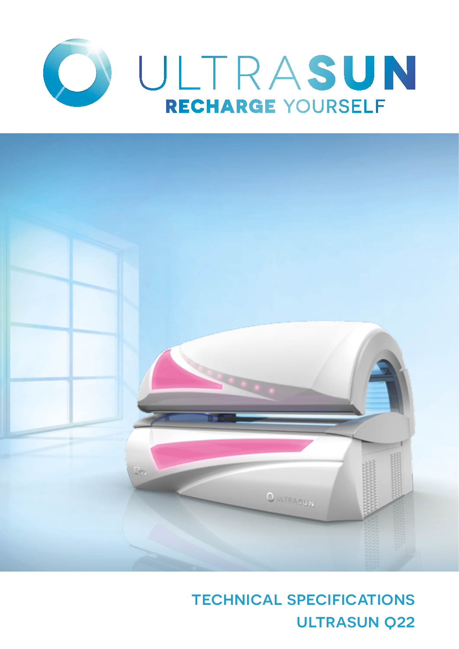



# technical specifications ULTRASUN Q22